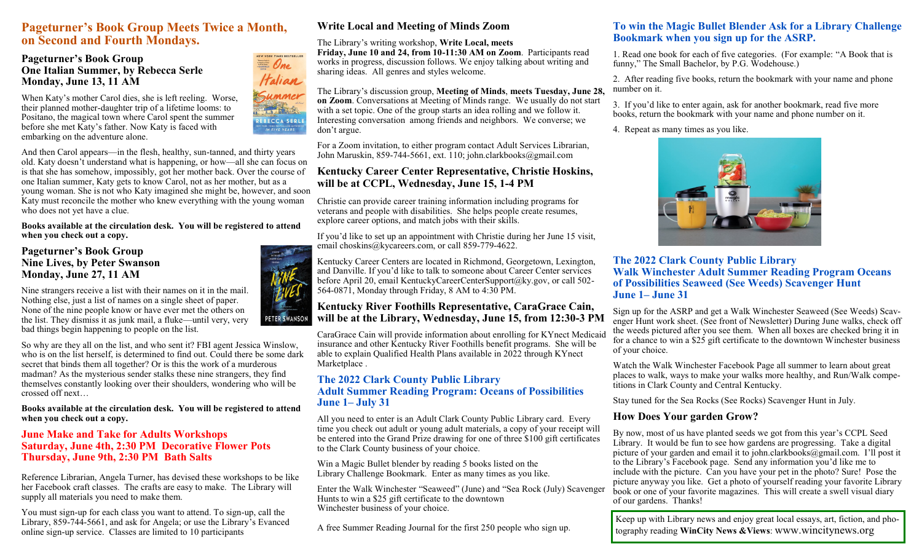# **Pageturner's Book Group Meets Twice a Month, on Second and Fourth Mondays.**

## **Pageturner's Book Group One Italian Summer, by Rebecca Serle Monday, June 13, 11 AM**

When Katy's mother Carol dies, she is left reeling. Worse, their planned mother-daughter trip of a lifetime looms: to Positano, the magical town where Carol spent the summer before she met Katy's father. Now Katy is faced with embarking on the adventure alone.

And then Carol appears—in the flesh, healthy, sun-tanned, and thirty years old. Katy doesn't understand what is happening, or how—all she can focus on is that she has somehow, impossibly, got her mother back. Over the course of one Italian summer, Katy gets to know Carol, not as her mother, but as a young woman. She is not who Katy imagined she might be, however, and soon Katy must reconcile the mother who knew everything with the young woman who does not yet have a clue.

#### **Books available at the circulation desk. You will be registered to attend when you check out a copy.**

## **Pageturner's Book Group Nine Lives, by Peter Swanson Monday, June 27, 11 AM**

Nine strangers receive a list with their names on it in the mail. Nothing else, just a list of names on a single sheet of paper. None of the nine people know or have ever met the others on the list. They dismiss it as junk mail, a fluke—until very, very bad things begin happening to people on the list.

So why are they all on the list, and who sent it? FBI agent Jessica Winslow, who is on the list herself, is determined to find out. Could there be some dark secret that binds them all together? Or is this the work of a murderous madman? As the mysterious sender stalks these nine strangers, they find themselves constantly looking over their shoulders, wondering who will be crossed off next…

#### **Books available at the circulation desk. You will be registered to attend when you check out a copy.**

## **June Make and Take for Adults Workshops Saturday, June 4th, 2:30 PM Decorative Flower Pots Thursday, June 9th, 2:30 PM Bath Salts**

Reference Librarian, Angela Turner, has devised these workshops to be like her Facebook craft classes. The crafts are easy to make. The Library will supply all materials you need to make them.

You must sign-up for each class you want to attend. To sign-up, call the Library, 859-744-5661, and ask for Angela; or use the Library's Evanced online sign-up service. Classes are limited to 10 participants

# **Write Local and Meeting of Minds Zoom**

## The Library's writing workshop, **Write Local, meets**

**Friday, June 10 and 24, from 10-11:30 AM on Zoom**. Participants read works in progress, discussion follows. We enjoy talking about writing and sharing ideas. All genres and styles welcome.

#### The Library's discussion group, **Meeting of Minds**, **meets Tuesday, June 28, on Zoom**. Conversations at Meeting of Minds range. We usually do not start with a set topic. One of the group starts an idea rolling and we follow it. Interesting conversation among friends and neighbors. We converse; we don't argue.

For a Zoom invitation, to either program contact Adult Services Librarian, John Maruskin, 859-744-5661, ext. 110; john.clarkbooks@gmail.com

## **Kentucky Career Center Representative, Christie Hoskins, will be at CCPL, Wednesday, June 15, 1-4 PM**

Christie can provide career training information including programs for veterans and people with disabilities. She helps people create resumes, explore career options, and match jobs with their skills.

If you'd like to set up an appointment with Christie during her June 15 visit, email choskins@kycareers.com, or call 859-779-4622.

Kentucky Career Centers are located in Richmond, Georgetown, Lexington, and Danville. If you'd like to talk to someone about Career Center services before April 20, email KentuckyCareerCenterSupport@ky.gov, or call 502- 564-0871, Monday through Friday, 8 AM to 4:30 PM.

## **Kentucky River Foothills Representative, CaraGrace Cain, will be at the Library, Wednesday, June 15, from 12:30-3 PM**

CaraGrace Cain will provide information about enrolling for KYnect Medicaid insurance and other Kentucky River Foothills benefit programs. She will be able to explain Qualified Health Plans available in 2022 through KYnect Marketplace .

## **The 2022 Clark County Public Library Adult Summer Reading Program: Oceans of Possibilities June 1– July 31**

All you need to enter is an Adult Clark County Public Library card. Every time you check out adult or young adult materials, a copy of your receipt will be entered into the Grand Prize drawing for one of three \$100 gift certificates to the Clark County business of your choice.

Win a Magic Bullet blender by reading 5 books listed on the Library Challenge Bookmark. Enter as many times as you like.

Enter the Walk Winchester "Seaweed" (June) and "Sea Rock (July) Scavenger Hunts to win a \$25 gift certificate to the downtown Winchester business of your choice.

A free Summer Reading Journal for the first 250 people who sign up.

## **To win the Magic Bullet Blender Ask for a Library Challenge Bookmark when you sign up for the ASRP.**

1. Read one book for each of five categories. (For example: "A Book that is funny," The Small Bachelor, by P.G. Wodehouse.)

2. After reading five books, return the bookmark with your name and phone number on it.

3. If you'd like to enter again, ask for another bookmark, read five more books, return the bookmark with your name and phone number on it.

4. Repeat as many times as you like.



**The 2022 Clark County Public Library Walk Winchester Adult Summer Reading Program Oceans of Possibilities Seaweed (See Weeds) Scavenger Hunt June 1– June 31**

Sign up for the ASRP and get a Walk Winchester Seaweed (See Weeds) Scavenger Hunt work sheet. (See front of Newsletter) During June walks, check off the weeds pictured after you see them. When all boxes are checked bring it in for a chance to win a \$25 gift certificate to the downtown Winchester business of your choice.

Watch the Walk Winchester Facebook Page all summer to learn about great places to walk, ways to make your walks more healthy, and Run/Walk competitions in Clark County and Central Kentucky.

Stay tuned for the Sea Rocks (See Rocks) Scavenger Hunt in July.

## **How Does Your garden Grow?**

By now, most of us have planted seeds we got from this year's CCPL Seed Library. It would be fun to see how gardens are progressing. Take a digital picture of your garden and email it to john.clarkbooks@gmail.com. I'll post it to the Library's Facebook page. Send any information you'd like me to include with the picture. Can you have your pet in the photo? Sure! Pose the picture anyway you like. Get a photo of yourself reading your favorite Library book or one of your favorite magazines. This will create a swell visual diary of our gardens. Thanks!

Keep up with Library news and enjoy great local essays, art, fiction, and photography reading **WinCity News &Views**: www.wincitynews.org



NEW YORK TIMES BESTSELLER  $\equiv$  One Halian Summer **Article** REBECCA SERLE ORK TIMES BESTSELLING AUTHO